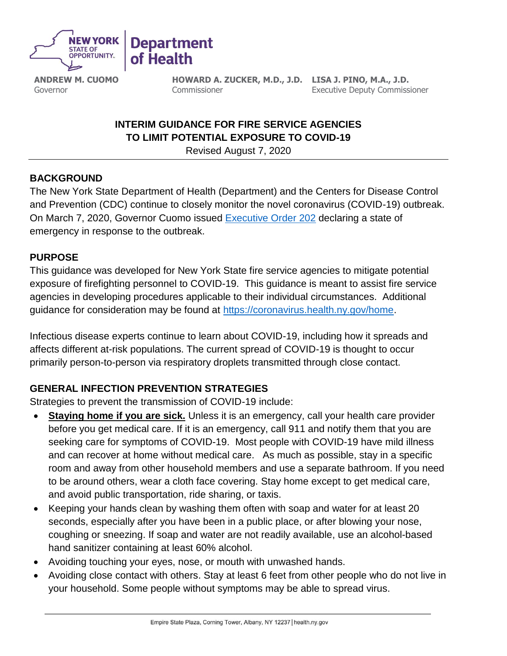



**ANDREW M. CUOMO** Governor

**HOWARD A. ZUCKER, M.D., J.D. LISA J. PINO, M.A., J.D.** Commissioner

Executive Deputy Commissioner

### **INTERIM GUIDANCE FOR FIRE SERVICE AGENCIES TO LIMIT POTENTIAL EXPOSURE TO COVID-19**

Revised August 7, 2020

#### **BACKGROUND**

The New York State Department of Health (Department) and the Centers for Disease Control and Prevention (CDC) continue to closely monitor the novel coronavirus (COVID-19) outbreak. On March 7, 2020, Governor Cuomo issued [Executive Order 202](https://www.governor.ny.gov/news/no-202-declaring-disaster-emergency-state-new-york) declaring a state of emergency in response to the outbreak.

#### **PURPOSE**

This guidance was developed for New York State fire service agencies to mitigate potential exposure of firefighting personnel to COVID-19. This guidance is meant to assist fire service agencies in developing procedures applicable to their individual circumstances. Additional guidance for consideration may be found at [https://coronavirus.health.ny.gov/home.](https://coronavirus.health.ny.gov/home)

Infectious disease experts continue to learn about COVID-19, including how it spreads and affects different at-risk populations. The current spread of COVID-19 is thought to occur primarily person-to-person via respiratory droplets transmitted through close contact.

# **GENERAL INFECTION PREVENTION STRATEGIES**

Strategies to prevent the transmission of COVID-19 include:

- **Staying home if you are sick.** Unless it is an emergency, call your health care provider before you get medical care. If it is an emergency, call 911 and notify them that you are seeking care for symptoms of COVID-19. Most people with COVID-19 have mild illness and can recover at home without medical care. As much as possible, stay in a specific room and away from other household members and use a separate bathroom. If you need to be around others, wear a cloth face covering. Stay home except to get medical care, and avoid public transportation, ride sharing, or taxis.
- Keeping your hands clean by washing them often with soap and water for at least 20 seconds, especially after you have been in a public place, or after blowing your nose, coughing or sneezing. If soap and water are not readily available, use an alcohol-based hand sanitizer containing at least 60% alcohol.
- Avoiding touching your eyes, nose, or mouth with unwashed hands.
- Avoiding close contact with others. Stay at least 6 feet from other people who do not live in your household. Some people without symptoms may be able to spread virus.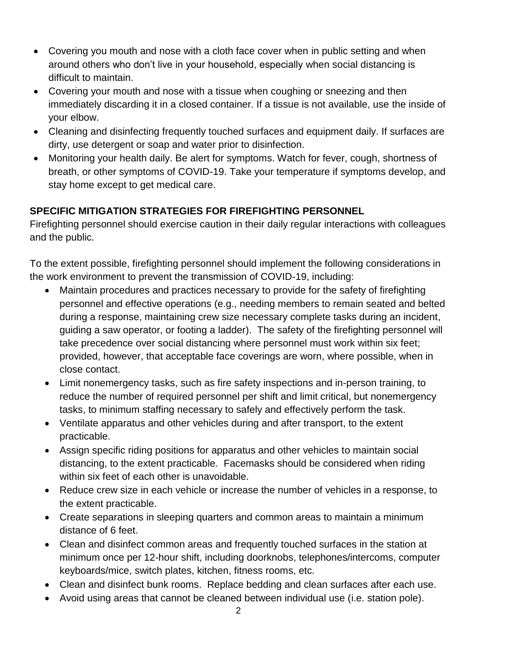- Covering you mouth and nose with a cloth face cover when in public setting and when around others who don't live in your household, especially when social distancing is difficult to maintain.
- Covering your mouth and nose with a tissue when coughing or sneezing and then immediately discarding it in a closed container. If a tissue is not available, use the inside of your elbow.
- Cleaning and disinfecting frequently touched surfaces and equipment daily. If surfaces are dirty, use detergent or soap and water prior to disinfection.
- Monitoring your health daily. Be alert for symptoms. Watch for fever, cough, shortness of breath, or other symptoms of COVID-19. Take your temperature if symptoms develop, and stay home except to get medical care.

### **SPECIFIC MITIGATION STRATEGIES FOR FIREFIGHTING PERSONNEL**

Firefighting personnel should exercise caution in their daily regular interactions with colleagues and the public.

To the extent possible, firefighting personnel should implement the following considerations in the work environment to prevent the transmission of COVID-19, including:

- Maintain procedures and practices necessary to provide for the safety of firefighting personnel and effective operations (e.g., needing members to remain seated and belted during a response, maintaining crew size necessary complete tasks during an incident, guiding a saw operator, or footing a ladder). The safety of the firefighting personnel will take precedence over social distancing where personnel must work within six feet; provided, however, that acceptable face coverings are worn, where possible, when in close contact.
- Limit nonemergency tasks, such as fire safety inspections and in-person training, to reduce the number of required personnel per shift and limit critical, but nonemergency tasks, to minimum staffing necessary to safely and effectively perform the task.
- Ventilate apparatus and other vehicles during and after transport, to the extent practicable.
- Assign specific riding positions for apparatus and other vehicles to maintain social distancing, to the extent practicable. Facemasks should be considered when riding within six feet of each other is unavoidable.
- Reduce crew size in each vehicle or increase the number of vehicles in a response, to the extent practicable.
- Create separations in sleeping quarters and common areas to maintain a minimum distance of 6 feet.
- Clean and disinfect common areas and frequently touched surfaces in the station at minimum once per 12-hour shift, including doorknobs, telephones/intercoms, computer keyboards/mice, switch plates, kitchen, fitness rooms, etc.
- Clean and disinfect bunk rooms. Replace bedding and clean surfaces after each use.
- Avoid using areas that cannot be cleaned between individual use (i.e. station pole).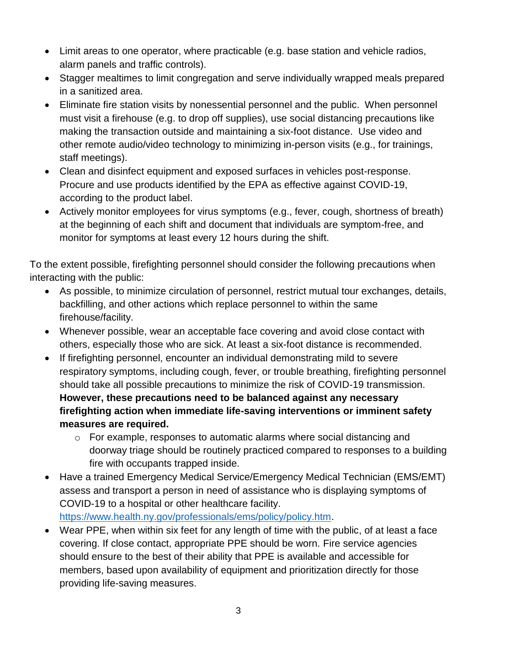- Limit areas to one operator, where practicable (e.g. base station and vehicle radios, alarm panels and traffic controls).
- Stagger mealtimes to limit congregation and serve individually wrapped meals prepared in a sanitized area.
- Eliminate fire station visits by nonessential personnel and the public. When personnel must visit a firehouse (e.g. to drop off supplies), use social distancing precautions like making the transaction outside and maintaining a six-foot distance. Use video and other remote audio/video technology to minimizing in-person visits (e.g., for trainings, staff meetings).
- Clean and disinfect equipment and exposed surfaces in vehicles post-response. Procure and use products identified by the EPA as effective against COVID-19, according to the product label.
- Actively monitor employees for virus symptoms (e.g., fever, cough, shortness of breath) at the beginning of each shift and document that individuals are symptom-free, and monitor for symptoms at least every 12 hours during the shift.

To the extent possible, firefighting personnel should consider the following precautions when interacting with the public:

- As possible, to minimize circulation of personnel, restrict mutual tour exchanges, details, backfilling, and other actions which replace personnel to within the same firehouse/facility.
- Whenever possible, wear an acceptable face covering and avoid close contact with others, especially those who are sick. At least a six-foot distance is recommended.
- If firefighting personnel, encounter an individual demonstrating mild to severe respiratory symptoms, including cough, fever, or trouble breathing, firefighting personnel should take all possible precautions to minimize the risk of COVID-19 transmission. **However, these precautions need to be balanced against any necessary firefighting action when immediate life-saving interventions or imminent safety measures are required.**
	- o For example, responses to automatic alarms where social distancing and doorway triage should be routinely practiced compared to responses to a building fire with occupants trapped inside.
- Have a trained Emergency Medical Service/Emergency Medical Technician (EMS/EMT) assess and transport a person in need of assistance who is displaying symptoms of COVID-19 to a hospital or other healthcare facility. [https://www.health.ny.gov/professionals/ems/policy/policy.htm.](https://www.health.ny.gov/professionals/ems/policy/policy.htm)
- Wear PPE, when within six feet for any length of time with the public, of at least a face covering. If close contact, appropriate PPE should be worn. Fire service agencies should ensure to the best of their ability that PPE is available and accessible for members, based upon availability of equipment and prioritization directly for those providing life-saving measures.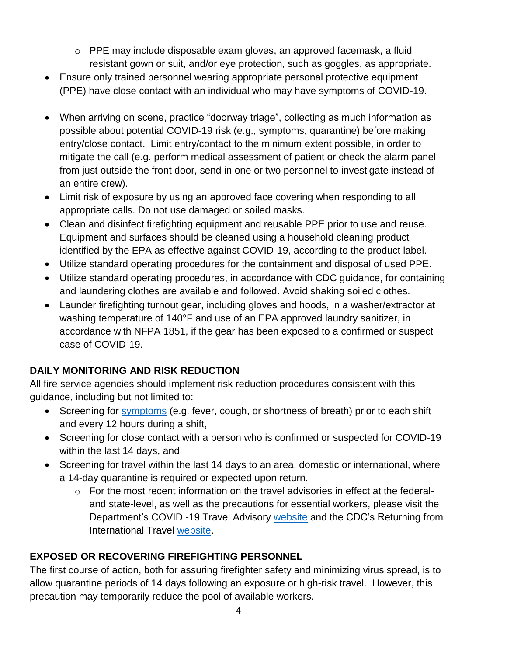- $\circ$  PPE may include disposable exam gloves, an approved facemask, a fluid resistant gown or suit, and/or eye protection, such as goggles, as appropriate.
- Ensure only trained personnel wearing appropriate personal protective equipment (PPE) have close contact with an individual who may have symptoms of COVID-19.
- When arriving on scene, practice "doorway triage", collecting as much information as possible about potential COVID-19 risk (e.g., symptoms, quarantine) before making entry/close contact. Limit entry/contact to the minimum extent possible, in order to mitigate the call (e.g. perform medical assessment of patient or check the alarm panel from just outside the front door, send in one or two personnel to investigate instead of an entire crew).
- Limit risk of exposure by using an approved face covering when responding to all appropriate calls. Do not use damaged or soiled masks.
- Clean and disinfect firefighting equipment and reusable PPE prior to use and reuse. Equipment and surfaces should be cleaned using a household cleaning product identified by the EPA as effective against COVID-19, according to the product label.
- Utilize standard operating procedures for the containment and disposal of used PPE.
- Utilize standard operating procedures, in accordance with CDC guidance, for containing and laundering clothes are available and followed. Avoid shaking soiled clothes.
- Launder firefighting turnout gear, including gloves and hoods, in a washer/extractor at washing temperature of 140°F and use of an EPA approved laundry sanitizer, in accordance with NFPA 1851, if the gear has been exposed to a confirmed or suspect case of COVID-19.

# **DAILY MONITORING AND RISK REDUCTION**

All fire service agencies should implement risk reduction procedures consistent with this guidance, including but not limited to:

- Screening for [symptoms](https://www.cdc.gov/coronavirus/2019-ncov/symptoms-testing/symptoms.html) (e.g. fever, cough, or shortness of breath) prior to each shift and every 12 hours during a shift,
- Screening for close contact with a person who is confirmed or suspected for COVID-19 within the last 14 days, and
- Screening for travel within the last 14 days to an area, domestic or international, where a 14-day quarantine is required or expected upon return.
	- $\circ$  For the most recent information on the travel advisories in effect at the federaland state-level, as well as the precautions for essential workers, please visit the Department's COVID -19 Travel Advisory [website](https://coronavirus.health.ny.gov/covid-19-travel-advisory) and the CDC's Returning from International Travel [website.](https://www.cdc.gov/coronavirus/2019-ncov/travelers/after-travel-precautions.html)

# **EXPOSED OR RECOVERING FIREFIGHTING PERSONNEL**

The first course of action, both for assuring firefighter safety and minimizing virus spread, is to allow quarantine periods of 14 days following an exposure or high-risk travel. However, this precaution may temporarily reduce the pool of available workers.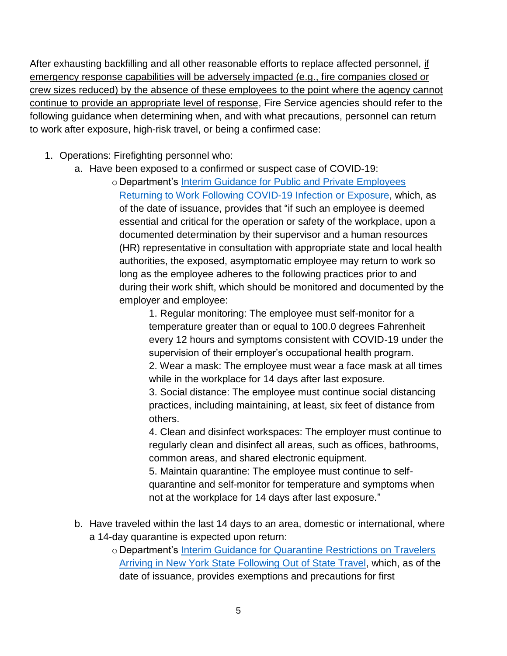After exhausting backfilling and all other reasonable efforts to replace affected personnel, if emergency response capabilities will be adversely impacted (e.g., fire companies closed or crew sizes reduced) by the absence of these employees to the point where the agency cannot continue to provide an appropriate level of response, Fire Service agencies should refer to the following guidance when determining when, and with what precautions, personnel can return to work after exposure, high-risk travel, or being a confirmed case:

- 1. Operations: Firefighting personnel who:
	- a. Have been exposed to a confirmed or suspect case of COVID-19:
		- o Department's [Interim Guidance for Public and Private Employees](https://coronavirus.health.ny.gov/system/files/documents/2020/06/doh_covid19_publicprivateemployeereturntowork_053120.pdf)  [Returning to Work Following COVID-19 Infection or Exposure,](https://coronavirus.health.ny.gov/system/files/documents/2020/06/doh_covid19_publicprivateemployeereturntowork_053120.pdf) which, as of the date of issuance, provides that "if such an employee is deemed essential and critical for the operation or safety of the workplace, upon a documented determination by their supervisor and a human resources (HR) representative in consultation with appropriate state and local health authorities, the exposed, asymptomatic employee may return to work so long as the employee adheres to the following practices prior to and during their work shift, which should be monitored and documented by the employer and employee:

1. Regular monitoring: The employee must self-monitor for a temperature greater than or equal to 100.0 degrees Fahrenheit every 12 hours and symptoms consistent with COVID-19 under the supervision of their employer's occupational health program.

2. Wear a mask: The employee must wear a face mask at all times while in the workplace for 14 days after last exposure.

3. Social distance: The employee must continue social distancing practices, including maintaining, at least, six feet of distance from others.

4. Clean and disinfect workspaces: The employer must continue to regularly clean and disinfect all areas, such as offices, bathrooms, common areas, and shared electronic equipment.

5. Maintain quarantine: The employee must continue to selfquarantine and self-monitor for temperature and symptoms when not at the workplace for 14 days after last exposure."

- b. Have traveled within the last 14 days to an area, domestic or international, where a 14-day quarantine is expected upon return:
	- o Department's [Interim Guidance for Quarantine Restrictions on Travelers](https://coronavirus.health.ny.gov/system/files/documents/2020/06/interimguidance_traveladvisory.pdf)  [Arriving in New York State Following Out of State Travel,](https://coronavirus.health.ny.gov/system/files/documents/2020/06/interimguidance_traveladvisory.pdf) which, as of the date of issuance, provides exemptions and precautions for first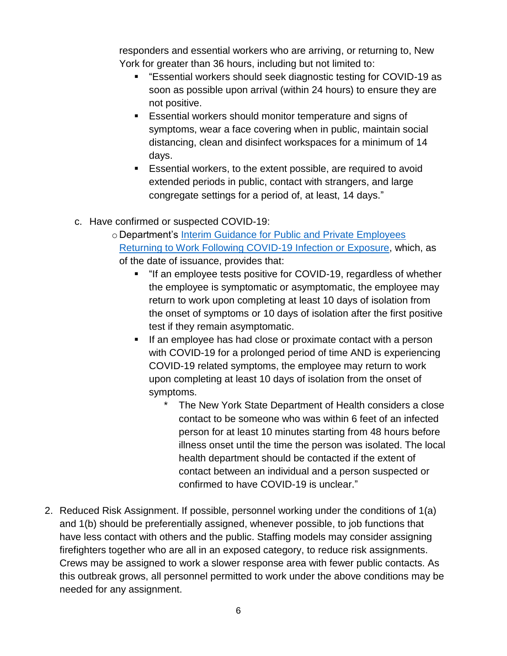responders and essential workers who are arriving, or returning to, New York for greater than 36 hours, including but not limited to:

- "Essential workers should seek diagnostic testing for COVID-19 as soon as possible upon arrival (within 24 hours) to ensure they are not positive.
- Essential workers should monitor temperature and signs of symptoms, wear a face covering when in public, maintain social distancing, clean and disinfect workspaces for a minimum of 14 days.
- Essential workers, to the extent possible, are required to avoid extended periods in public, contact with strangers, and large congregate settings for a period of, at least, 14 days."
- c. Have confirmed or suspected COVID-19:
	- o Department's [Interim Guidance for Public and Private Employees](https://coronavirus.health.ny.gov/system/files/documents/2020/06/doh_covid19_publicprivateemployeereturntowork_053120.pdf)  [Returning to Work Following COVID-19 Infection or Exposure,](https://coronavirus.health.ny.gov/system/files/documents/2020/06/doh_covid19_publicprivateemployeereturntowork_053120.pdf) which, as of the date of issuance, provides that:
		- "If an employee tests positive for COVID-19, regardless of whether the employee is symptomatic or asymptomatic, the employee may return to work upon completing at least 10 days of isolation from the onset of symptoms or 10 days of isolation after the first positive test if they remain asymptomatic.
		- If an employee has had close or proximate contact with a person with COVID-19 for a prolonged period of time AND is experiencing COVID-19 related symptoms, the employee may return to work upon completing at least 10 days of isolation from the onset of symptoms.
			- The New York State Department of Health considers a close contact to be someone who was within 6 feet of an infected person for at least 10 minutes starting from 48 hours before illness onset until the time the person was isolated. The local health department should be contacted if the extent of contact between an individual and a person suspected or confirmed to have COVID-19 is unclear."
- 2. Reduced Risk Assignment. If possible, personnel working under the conditions of 1(a) and 1(b) should be preferentially assigned, whenever possible, to job functions that have less contact with others and the public. Staffing models may consider assigning firefighters together who are all in an exposed category, to reduce risk assignments. Crews may be assigned to work a slower response area with fewer public contacts. As this outbreak grows, all personnel permitted to work under the above conditions may be needed for any assignment.